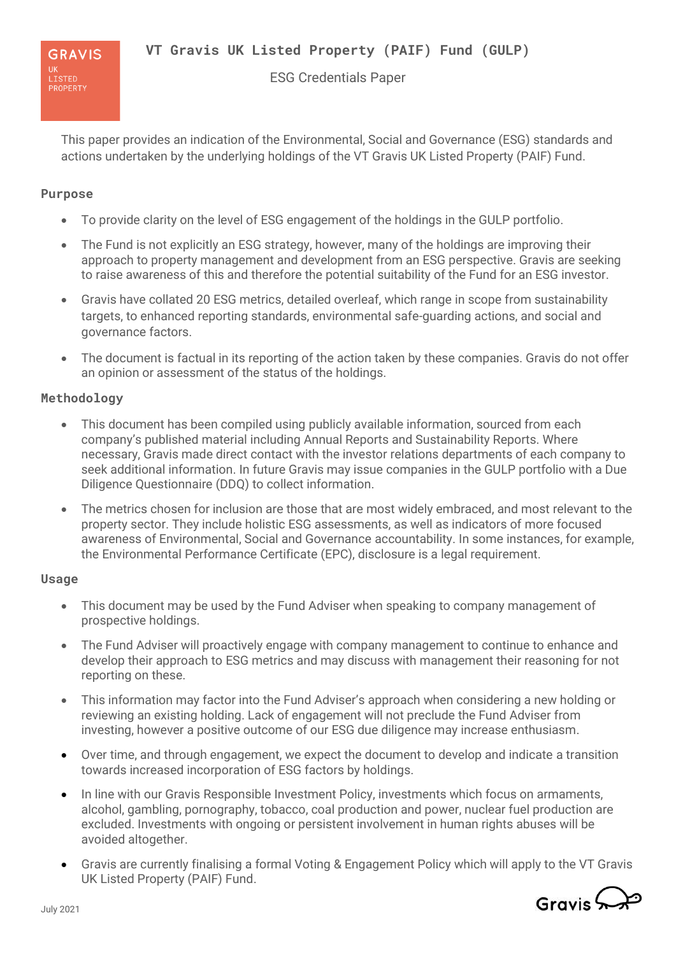# ESG Credentials Paper

This paper provides an indication of the Environmental, Social and Governance (ESG) standards and actions undertaken by the underlying holdings of the VT Gravis UK Listed Property (PAIF) Fund.

## **Purpose**

- To provide clarity on the level of ESG engagement of the holdings in the GULP portfolio.
- The Fund is not explicitly an ESG strategy, however, many of the holdings are improving their approach to property management and development from an ESG perspective. Gravis are seeking to raise awareness of this and therefore the potential suitability of the Fund for an ESG investor.
- Gravis have collated 20 ESG metrics, detailed overleaf, which range in scope from sustainability targets, to enhanced reporting standards, environmental safe-guarding actions, and social and governance factors.
- The document is factual in its reporting of the action taken by these companies. Gravis do not offer an opinion or assessment of the status of the holdings.

## **Methodology**

- This document has been compiled using publicly available information, sourced from each company's published material including Annual Reports and Sustainability Reports. Where necessary, Gravis made direct contact with the investor relations departments of each company to seek additional information. In future Gravis may issue companies in the GULP portfolio with a Due Diligence Questionnaire (DDQ) to collect information.
- The metrics chosen for inclusion are those that are most widely embraced, and most relevant to the property sector. They include holistic ESG assessments, as well as indicators of more focused awareness of Environmental, Social and Governance accountability. In some instances, for example, the Environmental Performance Certificate (EPC), disclosure is a legal requirement.

### **Usage**

- This document may be used by the Fund Adviser when speaking to company management of prospective holdings.
- The Fund Adviser will proactively engage with company management to continue to enhance and develop their approach to ESG metrics and may discuss with management their reasoning for not reporting on these.
- This information may factor into the Fund Adviser's approach when considering a new holding or reviewing an existing holding. Lack of engagement will not preclude the Fund Adviser from investing, however a positive outcome of our ESG due diligence may increase enthusiasm.
- Over time, and through engagement, we expect the document to develop and indicate a transition towards increased incorporation of ESG factors by holdings.
- In line with our Gravis Responsible Investment Policy, investments which focus on armaments, alcohol, gambling, pornography, tobacco, coal production and power, nuclear fuel production are excluded. Investments with ongoing or persistent involvement in human rights abuses will be avoided altogether.
- Gravis are currently finalising a formal Voting & Engagement Policy which will apply to the VT Gravis UK Listed Property (PAIF) Fund.

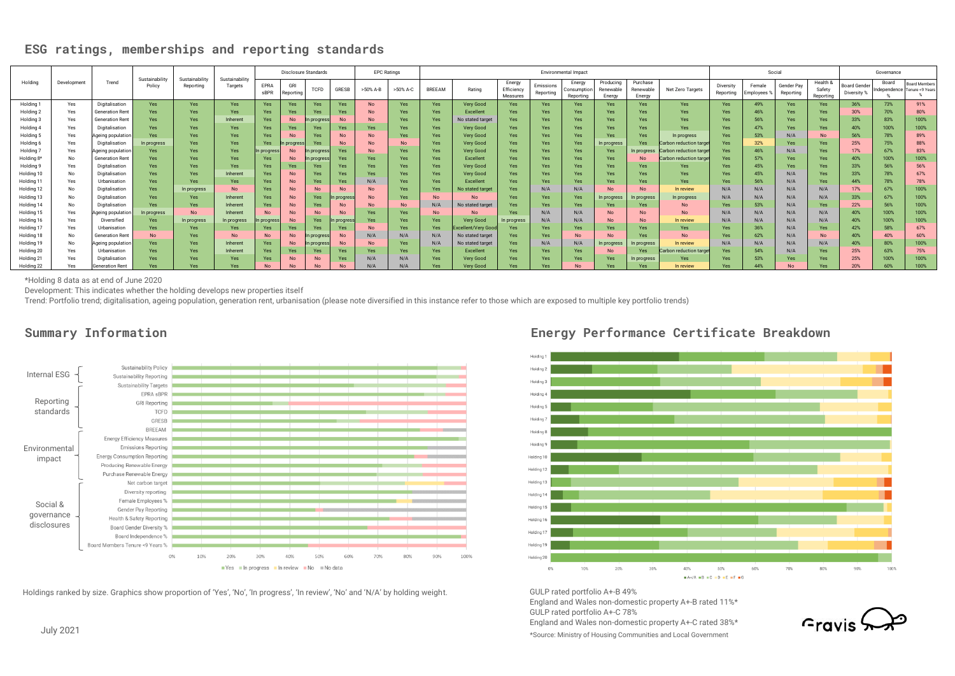## **ESG ratings, memberships and reporting standards**

| ESG ratings, memberships and reporting standards |                                                                                                                                                                                                                                                       |                                     |                          |                             |                           |                       |                   |             |             |                    |            |                      |                           |                                  |                        |                                    |                                  |                                 |                                                   |                        |                       |                         |                                 |                                   |                       |                                       |
|--------------------------------------------------|-------------------------------------------------------------------------------------------------------------------------------------------------------------------------------------------------------------------------------------------------------|-------------------------------------|--------------------------|-----------------------------|---------------------------|-----------------------|-------------------|-------------|-------------|--------------------|------------|----------------------|---------------------------|----------------------------------|------------------------|------------------------------------|----------------------------------|---------------------------------|---------------------------------------------------|------------------------|-----------------------|-------------------------|---------------------------------|-----------------------------------|-----------------------|---------------------------------------|
| Holding                                          | Development                                                                                                                                                                                                                                           | Trend                               | Sustainability<br>Policy | Sustainability<br>Reporting | Sustainability<br>Targets | Disclosure Standards  |                   |             |             | <b>EPC Ratings</b> |            | Environmental Impact |                           |                                  |                        |                                    |                                  |                                 |                                                   | Social                 |                       |                         |                                 | Governance                        |                       |                                       |
|                                                  |                                                                                                                                                                                                                                                       |                                     |                          |                             |                           | EPRA<br>sBPR          | GRI<br>Reporting  | TCFD        | GRESB       | >50% A-B           | >50% A-C   | BREEAM               | Rating                    | Energy<br>Efficiency<br>Measures | Emissions<br>Reporting | Energy<br>Consumption<br>Reporting | Producing<br>Renewable<br>Energy | Purchase<br>Renewable<br>Energy | Net Zero Targets                                  | Diversity<br>Reporting | Female<br>Employees % | Gender Pay<br>Reporting | Health &<br>Safety<br>Reporting | <b>Board Gende</b><br>Diversity % | Board<br>Independence | Board Members<br>Tenure <9 Years<br>% |
| Holding 1                                        | Yes                                                                                                                                                                                                                                                   | Digitalisation                      | Yes                      | Yes                         | <b>Yes</b>                | Yes                   | Yes               | <b>Yes</b>  | Yes         | <b>No</b>          | Yes        | Yes                  | Very Good                 | Yes                              | Yes                    | Yes                                | Yes                              | Yes                             | Yes                                               | <b>Yes</b>             | 49%                   | <b>Yes</b>              | Yes                             | 36%                               | 73%                   | 91%                                   |
| Holding <sub>2</sub>                             | Yes                                                                                                                                                                                                                                                   | <b>Generation Rent</b>              | <b>Yes</b>               | Yes                         | Yes                       | Yes                   | Yes               | Yes         | Yes         | <b>No</b>          | Yes        | Yes                  | Excellent                 | Yes                              | <b>Yes</b>             | Yes                                | Yes                              | <b>Yes</b>                      | Yes                                               | Yes                    | 46%                   | <b>Yes</b>              | Yes                             | 30%                               | 70%                   | 80%                                   |
| Holding 3                                        | Yes                                                                                                                                                                                                                                                   | Generation Rent                     | Yes                      | Yes                         | Inherent                  | Yes                   | No                | n progres:  | No          | No.                | Yes        | Yes                  | No stated target          | Yes                              | Yes                    | Yes                                | Yes                              | Yes                             | Yes                                               | Yes                    | 56%                   | Yes                     | Yes                             | 33%                               | 83%                   | 100%                                  |
| Holding 4                                        | Yes                                                                                                                                                                                                                                                   | Digitalisation                      | Yes                      | Yes                         | Yes                       | Yes                   | Yes               | Yes         | Yes         | Yes                | Yes        | Yes                  | Very Good                 | Yes                              | Yes                    | Yes                                | Yes                              | Yes                             | Yes                                               | Yes                    | 47%                   | Yes                     | Yes                             | 40%                               | 100%                  | 100%                                  |
| Holding 5                                        | Yes<br>Yes                                                                                                                                                                                                                                            | Ageing population                   | Yes                      | Yes<br>Yes                  | Yes                       | Yes                   | No                | Yes<br>Yes  | No<br>No    | No<br><b>No</b>    | Yes<br>No  | Yes<br>Yes           | Very Good                 | Yes<br>Yes                       | Yes<br>Yes             | Yes<br>Yes                         | Yes                              | Yes                             | In progress                                       | Yes                    | 53%<br>32%            | N/A                     | <b>No</b><br>Yes                | 56%<br>25%                        | 78%                   | 89%<br>88%                            |
| Holding 6<br>Holding 7                           | Yes                                                                                                                                                                                                                                                   | Digitalisation<br>Ageing population | In progress<br>Yes       | Yes                         | Yes<br>Yes                | Yes<br>In progress    | In progress<br>No | In progress | Yes         | <b>No</b>          | Yes        | Yes                  | Very Good<br>Very Good    | Yes                              | Yes                    | Yes                                | In progress<br>Yes               | Yes<br>In progress              | Carbon reduction target<br>Carbon reduction targe | Yes<br>Yes             | 46%                   | Yes<br>N/A              | Yes                             | 17%                               | 75%<br>67%            | 83%                                   |
| Holding 8*                                       | No                                                                                                                                                                                                                                                    | Generation Rent                     | <b>Yes</b>               | Yes                         | <b>Yes</b>                | Yes                   | No                | n progress  | Yes         | <b>Yes</b>         | Yes        | Yes                  | Excellent                 | Yes                              | Yes                    | Yes                                | Yes                              | No                              | Carbon reduction target                           | Yes                    | 57%                   | <b>Yes</b>              | Yes                             | 40%                               | 100%                  | 100%                                  |
| Holding 9                                        | Yes                                                                                                                                                                                                                                                   | Digitalisation                      | <b>Yes</b>               | Yes                         | Yes                       | Yes                   | Yes               | Yes         | Yes         | Yes                | Yes        | Yes                  | Very Good                 | Yes                              | Yes                    | Yes                                | Yes                              | Yes                             | Yes                                               | Yes                    | 45%                   | Yes                     | Yes                             | 33%                               | 56%                   | 56%                                   |
| Holding 10                                       | No                                                                                                                                                                                                                                                    | Digitalisation                      | <b>Yes</b>               | Yes                         | Inherent                  | Yes                   | No                | Yes         | Yes         | <b>Yes</b>         | <b>Yes</b> | Yes                  | Very Good                 | Yes                              | Yes                    | Yes                                | Yes                              | <b>Yes</b>                      | Yes                                               | <b>Yes</b>             | 45%                   | N/A                     | Yes                             | 33%                               | 78%                   | 67%                                   |
| Holding 11                                       | Yes                                                                                                                                                                                                                                                   | Urbanisation                        | <b>Yes</b>               | Yes                         | Yes                       | Yes                   | No                | Yes         | Yes         | N/A                | Yes        | Yes                  | Excellent                 | Yes                              | Yes                    | Yes                                | Yes                              | Yes                             | Yes                                               | Yes                    | 56%                   | N/A                     | Yes                             | 44%                               | 78%                   | 78%                                   |
| Holding 12                                       | No                                                                                                                                                                                                                                                    | Digitalisation                      | Yes                      | In progress                 | <b>No</b>                 | Yes                   | No                | <b>No</b>   | No          | No.                | Yes        | Yes                  | No stated target          | Yes                              | N/A                    | N/A                                | <b>No</b>                        | No.                             | In review                                         | N/A                    | N/A                   | N/A                     | N/A                             | 17%                               | 67%                   | 100%                                  |
| Holding 13                                       | No                                                                                                                                                                                                                                                    | Digitalisation                      | Yes                      | Yes                         | Inherent                  | Yes                   | No                | Yes         | In progres  | <b>No</b>          | Yes        | <b>No</b>            | <b>No</b>                 | Yes                              | Yes                    | Yes                                | In progress                      | progress                        | In progress                                       | N/A                    | N/A                   | N/A                     | N/A                             | 33%                               | 67%                   | 100%                                  |
| Holding 14                                       | No                                                                                                                                                                                                                                                    | Digitalisation                      | Yes                      | Yes                         | Inherent                  | Yes                   | No                | Yes         | No          | No.                | <b>No</b>  | N/A                  | No stated target          | Yes                              | Yes                    | Yes                                | Yes                              | Yes                             | No                                                | Yes                    | 53%                   | N/A                     | Yes                             | 22%                               | 56%                   | 100%                                  |
| Holding 15                                       | Yes                                                                                                                                                                                                                                                   | Ageing population                   | In progress              | No                          | Inherent                  | No                    | No                | No          | No          | Yes                | Yes        | <b>No</b>            | <b>No</b>                 | Yes                              | N/A                    | N/A                                | No                               | No                              | No                                                | N/A                    | N/A                   | N/A                     | N/A                             | 40%                               | 100%                  | 100%                                  |
| Holding 16                                       | Yes                                                                                                                                                                                                                                                   | Diversified                         | Yes                      | In progress                 | In progress               | progress              | No                | Yes         | In progress | Yes                | Yes        | Yes                  | Very Good                 | In progress                      | N/A                    | N/A                                | No                               | No                              | In review                                         | N/A                    | N/A                   | N/A                     | N/A                             | 40%                               | 100%                  | 100%                                  |
| Holding 17                                       | Yes                                                                                                                                                                                                                                                   | Urbanisation                        | Yes                      | Yes                         | Yes                       | Yes                   | Yes               | Yes         | Yes         | No                 | Yes        | Yes                  | <b>Excellent/Very Goo</b> | Yes                              | Yes                    | Yes                                | Yes                              | Yes                             | Yes                                               | Yes                    | 36%                   | N/A                     | Yes                             | 42%                               | 58%                   | 67%                                   |
| Holding 18                                       | No                                                                                                                                                                                                                                                    | Generation Rent                     | <b>No</b>                | Yes                         | No                        | No                    | No                | progres     | No          | N/A                | N/A        | N/A                  | No stated target          | Yes                              | Yes                    | <b>No</b>                          | No                               | Yes                             | No                                                | Yes                    | 62%                   | N/A                     | <b>No</b>                       | 40%                               | 40%                   | 60%                                   |
| Holding 19                                       | No                                                                                                                                                                                                                                                    | Ageing population                   | <b>Yes</b>               | Yes                         | Inherent                  | Yes                   | No                | progres     | No          | No                 | Yes        | N/A                  | No stated target          | Yes                              | N/A                    | N/A                                | In progress                      | n progress                      | In review                                         | N/A                    | N/A                   | N/A                     | N/A                             | 40%                               | 80%                   | 100%                                  |
| Holding 20                                       | Yes                                                                                                                                                                                                                                                   | Urbanisation                        | <b>Yes</b>               | Yes                         | Inherent                  | Yes                   | Yes               | Yes         | Yes         | Yes                | Yes        | Yes                  | Excellent                 | Yes                              | Yes                    | Yes                                | No                               | Yes                             | Carbon reduction targe                            | Yes                    | 54%                   | N/A                     | Yes                             | 25%                               | 63%                   | 75%                                   |
| Holding 21                                       | Yes                                                                                                                                                                                                                                                   | Digitalisation                      | Yes                      | Yes                         | Yes                       | Yes<br>N <sub>0</sub> | No                | No          | Yes         | N/A                | N/A        | Yes                  | Very Good                 | Yes                              | Yes                    | Yes                                | Yes                              | In progress                     | Yes                                               | Yes                    | 53%                   | Yes                     | Yes<br>Ves                      | 25%                               | 100%                  | 100%                                  |
| Holdina 22                                       | Yes                                                                                                                                                                                                                                                   | <b>Generation Rent</b>              | <b>Yes</b>               | Yes                         | <b>Yes</b>                |                       | No                | <b>No</b>   | <b>No</b>   | N/A                | N/A        | <b>Yes</b>           | <b>Verv Good</b>          | <b>Yes</b>                       | Yes                    | N <sub>c</sub>                     | Yes                              | <b>Yes</b>                      | In review                                         |                        | 44%                   | <b>No</b>               |                                 | 20%                               | 60%                   | 100%                                  |
|                                                  | *Holding 8 data as at end of June 2020<br>Development: This indicates whether the holding develops new properties itself<br><del>e</del> television termine in the contract of the second contract of the termine in the second termine of the second |                                     |                          |                             |                           |                       |                   |             |             |                    |            |                      |                           |                                  |                        |                                    |                                  |                                 |                                                   |                        |                       |                         |                                 |                                   |                       |                                       |

Trend: Portfolio trend; digitalisation, ageing population, generation rent, urbanisation (please note diversified in this instance refer to those which are exposed to multiple key portfolio trends)





**Summary Information Energy Performance Certificate Breakdown**



GULP rated portfolio A+-B 49%

England and Wales non-domestic property A+-B rated 11%\* GULP rated portfolio A+-C 78%

England and Wales non-domestic property A+-C rated 38%\* \*Source: Ministry of Housing Communities and Local Government

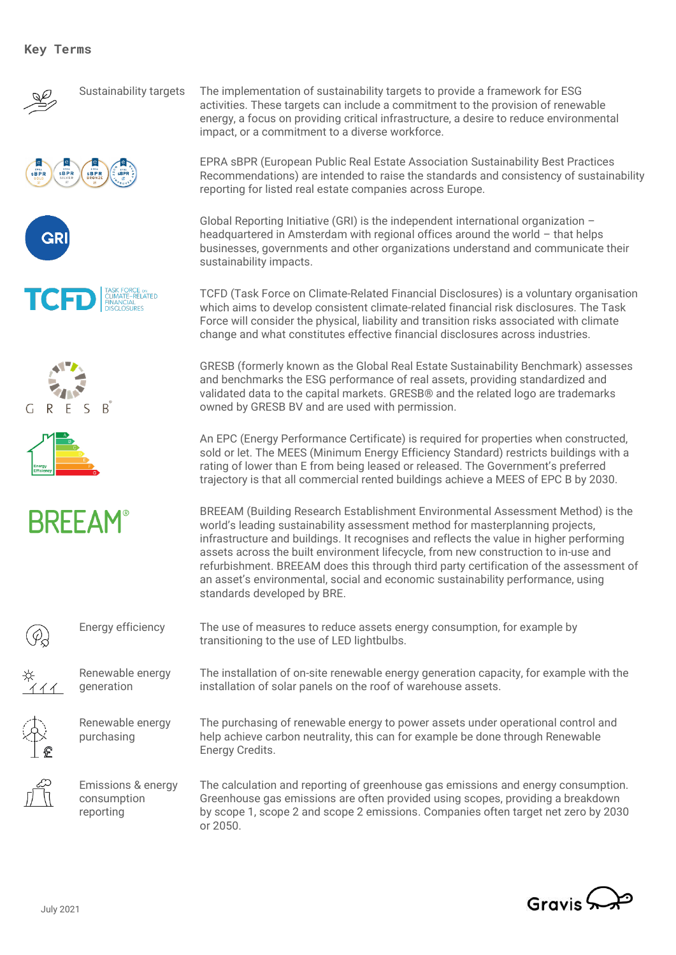#### **Key Terms**























Renewable energy purchasing

Renewable energy

Emissions & energy consumption reporting

Sustainability targets The implementation of sustainability targets to provide a framework for ESG activities. These targets can include a commitment to the provision of renewable energy, a focus on providing critical infrastructure, a desire to reduce environmental impact, or a commitment to a diverse workforce.

> EPRA sBPR (European Public Real Estate Association Sustainability Best Practices Recommendations) are intended to raise the standards and consistency of sustainability reporting for listed real estate companies across Europe.

Global Reporting Initiative (GRI) is the independent international organization – headquartered in Amsterdam with regional offices around the world – that helps businesses, governments and other organizations understand and communicate their sustainability impacts.

TCFD (Task Force on Climate-Related Financial Disclosures) is a voluntary organisation which aims to develop consistent climate-related financial risk disclosures. The Task Force will consider the physical, liability and transition risks associated with climate change and what constitutes effective financial disclosures across industries.

GRESB (formerly known as the Global Real Estate Sustainability Benchmark) assesses and benchmarks the ESG performance of real assets, providing standardized and validated data to the capital markets. GRESB® and the related logo are trademarks owned by GRESB BV and are used with permission.

An EPC (Energy Performance Certificate) is required for properties when constructed, sold or let. The MEES (Minimum Energy Efficiency Standard) restricts buildings with a rating of lower than E from being leased or released. The Government's preferred trajectory is that all commercial rented buildings achieve a MEES of EPC B by 2030.

BREEAM (Building Research Establishment Environmental Assessment Method) is the world's leading sustainability assessment method for masterplanning projects, infrastructure and buildings. It recognises and reflects the value in higher performing assets across the built environment lifecycle, from new construction to in-use and refurbishment. BREEAM does this through third party certification of the assessment of an asset's environmental, social and economic sustainability performance, using standards developed by BRE.

Energy efficiency The use of measures to reduce assets energy consumption, for example by transitioning to the use of LED lightbulbs.

> The installation of on-site renewable energy generation capacity, for example with the installation of solar panels on the roof of warehouse assets.

The purchasing of renewable energy to power assets under operational control and help achieve carbon neutrality, this can for example be done through Renewable Energy Credits.

The calculation and reporting of greenhouse gas emissions and energy consumption. Greenhouse gas emissions are often provided using scopes, providing a breakdown by scope 1, scope 2 and scope 2 emissions. Companies often target net zero by 2030 or 2050.